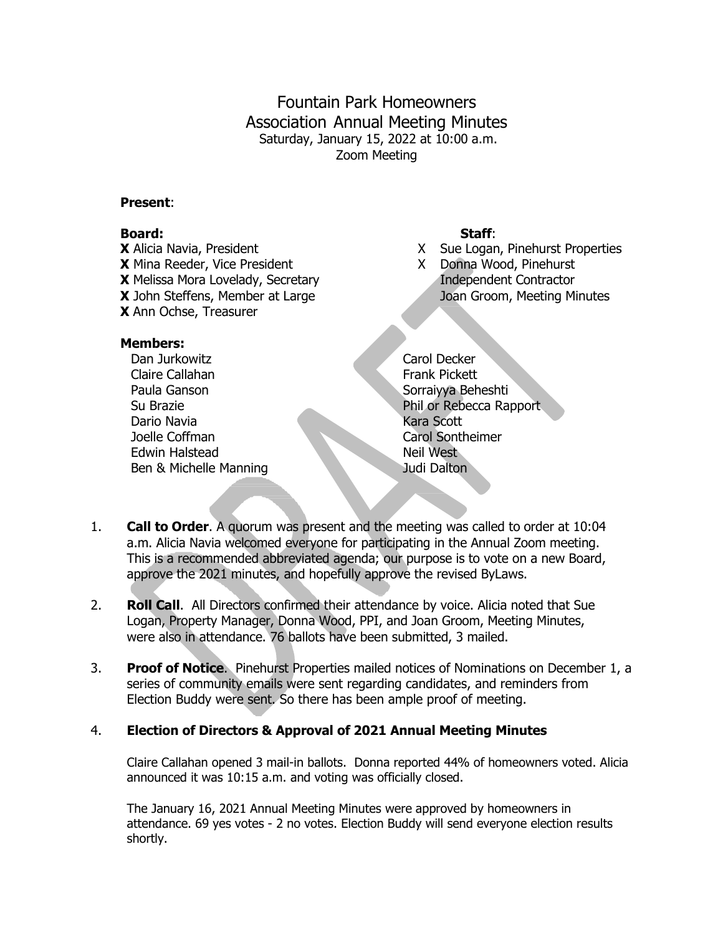Fountain Park Homeowners Association Annual Meeting Minutes Saturday, January 15, 2022 at 10:00 a.m. Zoom Meeting

#### **Present**:

#### **Board: Staff**:

**X** Alicia Navia, President X Sue Logan, Pinehurst Properties **X** Mina Reeder, Vice President X Donna Wood, Pinehurst **X** Melissa Mora Lovelady, Secretary **Independent Contractor X** John Steffens, Member at Large Joan Groom, Meeting Minutes **X** Ann Ochse, Treasurer

#### **Members:**

Dan Jurkowitz **Carol Decker** Claire Callahan Frank Pickett Paula Ganson Sorraiyya Beheshti Dario Navia **Kara Scott** Joelle Coffman Carol Sontheimer Edwin Halstead Neil West Ben & Michelle Manning **State Communist Communist Communist Communist Communist Communist Communist Communist Communist Communist Communist Communist Communist Communist Communist Communist Communist Communist Communist Co** 

- 
- 

Su Brazie **Phil or Rebecca Rapport** 

- 1. **Call to Order**. A quorum was present and the meeting was called to order at 10:04 a.m. Alicia Navia welcomed everyone for participating in the Annual Zoom meeting. This is a recommended abbreviated agenda; our purpose is to vote on a new Board, approve the 2021 minutes, and hopefully approve the revised ByLaws.
- 2. **Roll Call**. All Directors confirmed their attendance by voice. Alicia noted that Sue Logan, Property Manager, Donna Wood, PPI, and Joan Groom, Meeting Minutes, were also in attendance. 76 ballots have been submitted, 3 mailed.
- 3. **Proof of Notice**. Pinehurst Properties mailed notices of Nominations on December 1, a series of community emails were sent regarding candidates, and reminders from Election Buddy were sent. So there has been ample proof of meeting.

## 4. **Election of Directors & Approval of 2021 Annual Meeting Minutes**

Claire Callahan opened 3 mail-in ballots. Donna reported 44% of homeowners voted. Alicia announced it was 10:15 a.m. and voting was officially closed.

The January 16, 2021 Annual Meeting Minutes were approved by homeowners in attendance. 69 yes votes - 2 no votes. Election Buddy will send everyone election results shortly.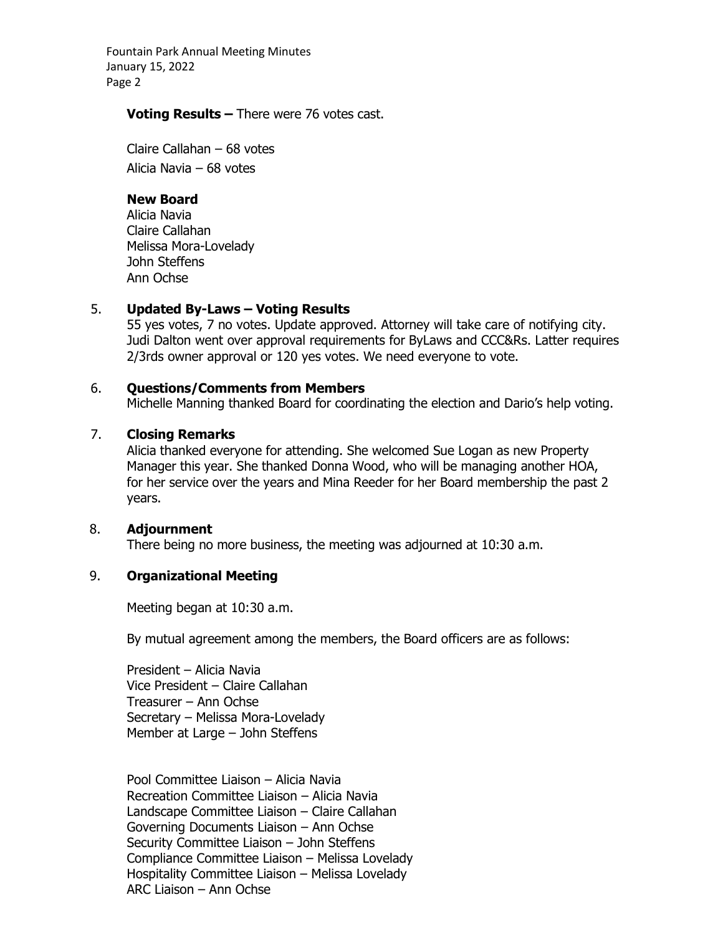Fountain Park Annual Meeting Minutes January 15, 2022 Page 2

#### **Voting Results –** There were 76 votes cast.

Claire Callahan – 68 votes Alicia Navia – 68 votes

## **New Board**

Alicia Navia Claire Callahan Melissa Mora-Lovelady John Steffens Ann Ochse

## 5. **Updated By-Laws – Voting Results**

55 yes votes, 7 no votes. Update approved. Attorney will take care of notifying city. Judi Dalton went over approval requirements for ByLaws and CCC&Rs. Latter requires 2/3rds owner approval or 120 yes votes. We need everyone to vote.

## 6. **Questions/Comments from Members**

Michelle Manning thanked Board for coordinating the election and Dario's help voting.

# 7. **Closing Remarks**

Alicia thanked everyone for attending. She welcomed Sue Logan as new Property Manager this year. She thanked Donna Wood, who will be managing another HOA, for her service over the years and Mina Reeder for her Board membership the past 2 years.

## 8. **Adjournment**

There being no more business, the meeting was adjourned at 10:30 a.m.

## 9. **Organizational Meeting**

Meeting began at 10:30 a.m.

By mutual agreement among the members, the Board officers are as follows:

President – Alicia Navia Vice President – Claire Callahan Treasurer – Ann Ochse Secretary – Melissa Mora-Lovelady Member at Large – John Steffens

Pool Committee Liaison – Alicia Navia Recreation Committee Liaison – Alicia Navia Landscape Committee Liaison – Claire Callahan Governing Documents Liaison – Ann Ochse Security Committee Liaison – John Steffens Compliance Committee Liaison – Melissa Lovelady Hospitality Committee Liaison – Melissa Lovelady ARC Liaison – Ann Ochse